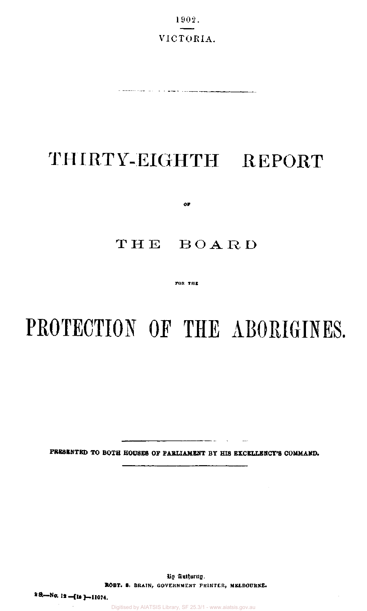1902. VICTORIA.

are advanced to provide a straight to the company of the company company company company of the company of the

# THIRTY-EIGHTH REPORT

**0F** 

# THE BOARD

**FOR TUB** 

# **PROTECTION OF THE ABORIGINES.**

**PRESENTED TO BOTH HOUSES OF PARLIAMENT BY HIS EXCELLENCY'S COMMAND.** 

 $\sim$  -  $\sim$ 

By Authority. **ROBT. S.** BRAIN, GOVERNMENT PRINTER, MELBOURNE.

2 S. - No. 12 - [ls] -**-11074.**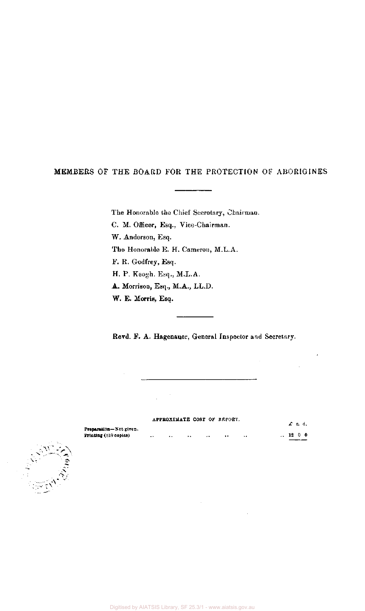## MEMBERS OF THE BOARD FOR THE PROTECTION OF ABORIGINES

The Honorable the Chief Secretary, Chairman.

C. M. Officer, Esq., Vice-Chairman.

W. Anderson, Esq.

The Honorable E. H. Cameron, M.L.A.

F. R. Godfrey, Esq.

H. P. Keogh, Esq., M.L.A.

A. Morrison, Esq., M.A., LL.D.

W. E. Morris, Esq.

Revd. F. A. Hagenauer, General Inspector and Secretary.

|                                                        |                      |          |               |          | APPROXIMATE COST OF REPORT. |                      | $\pounds$ s.d.      |  |
|--------------------------------------------------------|----------------------|----------|---------------|----------|-----------------------------|----------------------|---------------------|--|
| Preparation-Not given.<br><b>Printing</b> (810 copies) | $\ddot{\phantom{0}}$ | $\cdots$ | <b>BALLAS</b> | $\cdots$ | $\cdots$                    | $\ddot{\phantom{1}}$ | $\therefore$ 12 0 0 |  |
|                                                        |                      |          |               |          |                             |                      |                     |  |

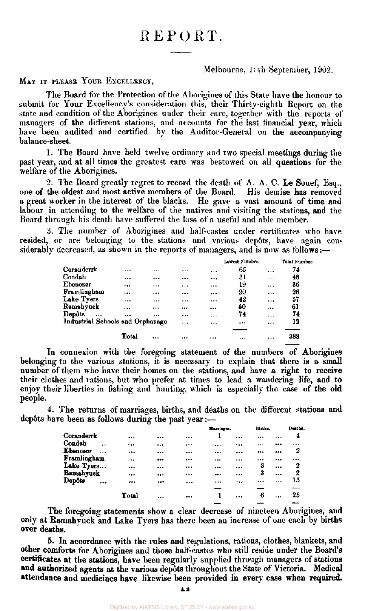# REPORT.

#### Melbourne, 10th September, 1902.

MAY IT PLEASE YOUR EXCELLENCY,

The Board for the Protection of the Aborigines of this State have the honour to submit for Your Excellency's consideration this, their Thirty-eighth Report on the state and condition of the Aborigines under their care, together with the reports of managers of the different stations, and accounts for the last financial year, which have been audited and certified by the Auditor-General on the accompanying balance-sheet.

1. The Board have held twelve ordinary and two special meetings during the past year, and at all times the greatest care was bestowed on all questions for the welfare of the Aborigines.

2. The Board greatly regret to record the death of A. A. C. Le Souef, Esq., one of the oldest and most active members of the Board. His demise has removed a great worker in the interest of the blacks. He gave a vast amount of time and labour in attending to the welfare of the natives and visiting the stations, and the Board through his death have suffered the loss of a useful and able member.

3. The number of Aborigines and half-castes under certificates who have resided, or are belonging to the stations and various depots, have again considerably decreased, as shown in the reports of managers, and is now as follows:—

|                                  |       |          |           |           | Lowest Number. |           | Total Number. |
|----------------------------------|-------|----------|-----------|-----------|----------------|-----------|---------------|
| Coranderrk                       |       | $\cdots$ |           | $\ddotsc$ | 65             | $\cdots$  | 74            |
| Condah                           |       |          |           | $\cdots$  | 31             | .         | 48            |
| Ebenezer                         |       |          | $\ddotsc$ |           | 19             | $\cdots$  | 36            |
| Framlingham                      |       |          |           |           | 20             | $\ddotsc$ | 26            |
| Lake Tyers                       |       |          |           |           | 42             |           | 57            |
| Ramahyuck                        |       |          |           |           | -50            |           | 61            |
| Depôts<br>$\ddotsc$              |       |          |           | $\ddotsc$ | 74             |           | 74            |
| Industrial Schools and Orphanage |       |          |           |           |                |           | 12            |
|                                  |       |          |           |           |                |           |               |
|                                  | Total |          |           | $\cdots$  |                |           | 388           |

In connexion with the foregoing statement of the numbers of Aborigines belonging to the various stations, it is necessary to explain that there is a small number of them who have their homes on the stations, and have a right to receive their clothes and rations, but who prefer at times to lead a wandering life, and to enjoy their liberties in fishing and hunting, which is especially the case of the old people.

4. The returns of marriages, births, and deaths on the different stations and depôts have been as follows during the past year: $-$ 

|                     |         |          |          |          | Marriages. | Hirths. | Deaths.  |    |
|---------------------|---------|----------|----------|----------|------------|---------|----------|----|
| Coranderrk          |         |          |          |          |            |         |          | 4  |
| Condah<br>$\ddotsc$ |         |          |          |          |            |         |          |    |
| Ebenezer            |         |          |          | $\cdots$ |            |         |          | 2  |
| Framlingham         |         |          |          |          |            |         |          |    |
| Lake Tyers          | $1 + 4$ |          |          |          |            | 3       | $\cdots$ | 2  |
| Ramahyuck           |         |          |          |          | $\cdots$   | 3       |          | 2  |
| Depôts<br>          |         |          |          |          |            |         |          | 15 |
|                     |         |          |          |          |            |         |          |    |
|                     | Total   | $\cdots$ | $\cdots$ |          | $\cdots$   | 6       |          | 25 |
|                     |         |          |          |          |            |         |          |    |

The foregoing statements show a clear decrease of nineteen Aborigines, and only at Ramahyuck and Lake Tyers has there been an increase of one each by births over deaths.

5. In accordance with the rales and regulations, rations, clothes, blankets, and other comforts for Aborigines and those half-castes who still reside under the Board's certificates at the stations, have been regularly supplied through managers of stations **and** authorized agents at the various dep6ts throughout the State of Victoria. Medical attendance and medicines have likewise been provided in every case when required.

**A2**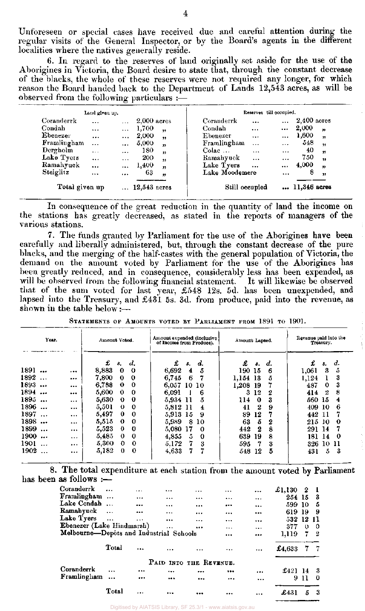Unforeseen or special cases have received due and careful attention during the regular visits of the General Inspector, or by the Board's agents in the different localities where the natives generally reside.

6. In regard to the reserves of land originally set aside for the use of the Aborigines in Victoria, the Board desire to state that, through the constant decrease of the blacks, the whole of these reserves were not required any longer, for which reason the Board handed back to the Department of Lands 12,543 acres, as will be observed from the following particulars :—

|                | Land given up. |           |                |                          |                | Reserves till occupied. |           |               |                  |
|----------------|----------------|-----------|----------------|--------------------------|----------------|-------------------------|-----------|---------------|------------------|
| Coranderrk     | $\cdots$       | $\ddotsc$ | $2,000$ acres  |                          | Coranderrk     | $\ddotsc$               | $\ddotsc$ | $2,400$ acres |                  |
| Condah         | $\cdots$       | $\cdots$  | 1,700          | $\overline{\mathbf{12}}$ | Condah         | $\cdots$                | $\cdots$  | 2,000         | $\boldsymbol{v}$ |
| Ebenezer       | $\cdots$       |           | 2,000          | $\overline{\mathbf{z}}$  | Ebenezer       | $\cdots$                |           | 1,600         | žJ.              |
| Framlingham    | $\cdots$       | $\cdots$  | 5,000          | $\mathbf{r}$             | Framlingham    | $\ddotsc$               | $\cdots$  | 548           | ,                |
| Dergholm       | $\cdots$       | $\cdots$  | 180            | $\bullet$                | Colac          | $\sim$ $\sim$           | $\cdots$  | 40            | ,                |
| Lake Tyers     | $\cdots$       | $\ddotsc$ | 200            | 99                       | Ramahyuck      | $\cdots$                | $\cdots$  | 750           | $\bullet$        |
| Ramahyuck      | $\ddotsc$      | $\cdots$  | 1,400          | $\mathbf{r}$             | Lake Tyers     | $\ddotsc$               | $\cdots$  | 4,000         | $\mathbf{v}$     |
| Steiglitz      | $\cdots$       | $\cdots$  | 63             | $^{\prime\prime}$        | Lake Moodemere |                         | $\cdots$  | 8             | ,,               |
| Total given up |                |           | $12,543$ acres |                          | Still occupied |                         |           | 11,346 acres  |                  |

In consequence of the great reduction in the quantity of land the income on the stations has greatly decreased, as stated in the reports of managers of the various stations.

7. The funds granted by Parliament for the use of the Aborigines have been carefully and liberally administered, but, through the constant decrease of the pure blacks, and the merging of the half-castes with the general population of Victoria, the demand on the amount voted by Parliament for the use of the Aborigines has been greatly reduced, and in consequence, considerably less has been expended, as will be observed from the following financial statement. It will likewise be observed that of the sum voted for last year, £548 12s. 5d. has been unexpended, and lapsed into the Treasury, and  $\pounds 431$  5s. 3d. from produce, paid into the revenue, as shown in the table below: $\frac{1}{1}$ 

| Year.             |          | Amount Voted.                 | Amount expended (inclusive<br>of Income from Produce). | Amount Lapsed.   | Revenue paid into the<br>Treasury. |  |  |  |  |
|-------------------|----------|-------------------------------|--------------------------------------------------------|------------------|------------------------------------|--|--|--|--|
|                   |          | £<br>d.<br>\$.                | £<br>d.<br>s.                                          | £<br>d.<br>s.    | £<br>d.<br>s.                      |  |  |  |  |
| 1891<br>$\ddotsc$ | .        | 8,883<br>0<br>0               | 6,692<br>5<br>4                                        | 190 15<br>6      | 3<br>5<br>1,061                    |  |  |  |  |
| 1892<br>$\ddotsc$ |          | 7,800<br>$\bf{0}$<br>$\bf{0}$ | 6,745<br>6<br>7                                        | 1,154<br>13<br>5 | 3<br>1,124                         |  |  |  |  |
| 1893.<br>         |          | 6,788<br>$\Omega$<br>$\bf{0}$ | 6,057<br>$10-10$                                       | 1,208<br>19      | 487<br>3<br>0                      |  |  |  |  |
| 1894<br>$\cdots$  |          | 5,600<br>0<br>$\mathbf 0$     | 6,091<br>6                                             | 12<br>3<br>2     | 8<br>2<br>414                      |  |  |  |  |
| 1895<br>$\ddotsc$ | $\cdots$ | 5,630<br>$\bf{0}$<br>$\Omega$ | 5,934<br>11<br>5                                       | 114<br>0<br>3    | 15<br>560-<br>4                    |  |  |  |  |
| 1896              |          | 5,501<br>$\bf{0}$<br>$\Omega$ | 5,812<br>11<br>4                                       | 2<br>41<br>9     | 6<br>409<br>10                     |  |  |  |  |
| 1897<br>$\ddotsc$ |          | 5,497<br>$\bf{0}$<br>0        | 5,913<br>15<br>-9                                      | 12<br>89         | 442.<br>11                         |  |  |  |  |
| 1898              |          | 5,515<br>$\mathbf o$<br>-0    | 5,989<br>8.<br>10                                      | 5<br>63<br>2     | 215<br>-10<br>0                    |  |  |  |  |
| 1899<br>$\ddotsc$ |          | 5,523<br>0<br>0               | 5,080<br>17<br>-0                                      | 442<br>2<br>8    | 291<br>-14                         |  |  |  |  |
| 1900<br>          | $\cdots$ | 5,485<br>0<br>$\bf{0}$        | 4,855<br>5.<br>$\mathbf 0$                             | 639<br>19<br>8   | 181<br>14<br>0                     |  |  |  |  |
| 1901              |          | 5,300<br>0<br>$\Omega$        | 5,172<br>7.<br>3                                       | 595<br>3<br>7    | 326<br>10 11                       |  |  |  |  |
| 1902              |          | 5,182<br>0<br>0               | 7<br>4,633<br>7.                                       | 12<br>5<br>548.  | 5.<br>-3<br>431                    |  |  |  |  |

STATEMENTS OF AMOUNTS VOTED BY PARLIAMENT FROM 1891 TO 1901.

8. The total expenditure at each station from the amount voted by Parliament has been as follows :—

| Coranderrk                              |            | .        |                        | $\cdots$ | $\cdots$ |          | £1,130 | 2            |    |
|-----------------------------------------|------------|----------|------------------------|----------|----------|----------|--------|--------------|----|
| Framlingham                             |            |          |                        |          |          | $\cdots$ | 254 15 |              | з  |
| Lake Condah                             |            |          | $\ddotsc$              |          |          |          | 599.   | -10          | 5  |
| Ramahyuck                               | $\dddotsc$ |          | $\cdots$               |          |          |          | 619    | -19          | 9  |
| Lake Tyers                              | $\sim$     | $\cdots$ |                        |          | $\cdots$ |          | 532    | 12           | 11 |
| Ebenezer (Lake Hindmarsh)               |            |          |                        |          |          |          | 377    | $\mathbf{0}$ | 0  |
| Melbourne-Depôts and Industrial Schools |            |          |                        |          |          |          |        |              |    |
|                                         |            |          |                        |          | $\cdots$ |          | 1,119  | 7.           | -2 |
|                                         | Total      | $1 + 4$  |                        |          |          |          | £4,633 | 7            |    |
|                                         |            |          | PAID INTO THE REVENUE. |          |          |          |        |              |    |
| Coranderrk                              |            |          |                        |          |          |          | £421   | -14          | -3 |
| Framlingham                             |            |          |                        |          |          |          | 9      | 11           | 0  |
|                                         | Total      |          |                        |          |          | $\cdots$ | £431   | 5            | 3  |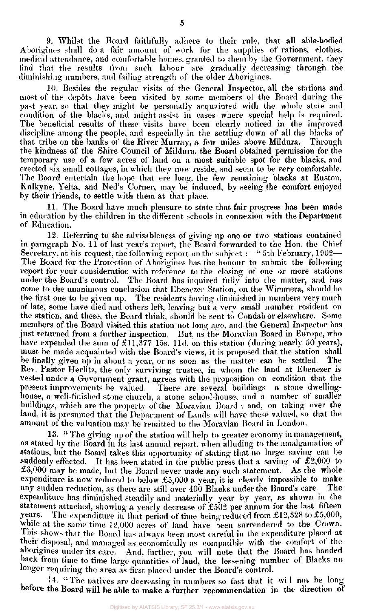9. Whilst the Board faithfully adhere to their rule, that all able-bodied Aborigines shall do a fair amount of work for the supplies of rations, clothes, medical attendance, and comfortable homes, granted to them by the Government, they find that the results from such labour are gradually decreasing through the diminishing numbers, and failing strength of the older Aborigines.

10. Besides the regular visits of the General Inspector, all the stations and most of the depots have been visited by some members of the Board during the past year, so that they might be personally acquainted with the whole state and condition of the blacks, and might assist in cases where special help is required. The beneficial results of these visits have been clearly noticed in the improved discipline among the people, and especially in the settling down of all the blacks of that tribe on the banks of the River Murray, a few miles above Mildura. Through the kindness of the Shire Council of Mildura, the Board obtained permission for the temporary use of a few acres of land on a most suitable spot for the blacks, and erected six small cottages, in which they now reside, and seem to be very comfortable. The Board entertain the hope that ere long, the few remaining blacks at Euston, Kulkyne, Yelta, and Ned's Corner, may be induced, by seeing the comfort enjoyed by their friends, to settle with them at that place.

11. The Board have much pleasure to state that fair progress has been made in education by the children in the different schools in connexion with the Department of Education.

12. Referring to the advisableness of giving up one or two stations contained in paragraph No. 11 of last year's report, the Board forwarded to the Hon. the Chief Secretary, at his request, the following report on the subject :—" 5th February, 1902— The Board for the Protection of Aborigines has the honour to submit the following report for your consideration with reference to the closing of one or more stations under the Board's control. The Board has inquired fully into the matter, and has come to the unanimous conclusion that Ebenezer Station, on the Wimmera, should be the first one to be given up. The residents having diminished in numbers very much of late, some have died and others left, leaving but a very small number resident on the station, and these, the Board think, should be sent to Condah or elsewhere. Some members of the Board visited this station not long ago, and the General Inspector has just returned from a further inspection. But, as the Moravian Board in Europe, who have expended the sum of £11,377 15s. 11d. on this station (during nearly 50 years), must be made acquainted with the Board's views, it is proposed that the station shall be finally given up in about a year, or as soon as the matter can be settled. The Rev. Pastor Herlitz, the only surviving trustee, in whom the land at Ebenezer is vested under a Government grant, agrees with the proposition on condition that the present improvements be valued. There are several buildings—a stone dwellinghouse, a well-finished stone church, a stone school-house, and a number of smaller buildings, which are the property of the Moravian Board; and, on taking over the land, it is presumed that the Department of Lands will have these valued, so that the amount of the valuation may be remitted to the Moravian Board in London.

13. " The giving up of the station will help to greater economy in management, as stated by the Board in its last annual report, when alluding to the amalgamation of stations, but the Board takes this opportunity of stating that no large saving can be suddenly effected. It has been stated in the public press that a saving of  $\mathcal{L}2,000$  to  $£3,000$  may be made, but the Board never made any such statement. As the whole expenditure is now reduced to below  $£5,000$  a year, it is clearly impossible to make any sudden reduction, as there are still over 400 Blacks under the Board's care. The expenditure has diminished steadily and materially year by year, as shown in the statement attached, showing a yearly decrease of  $£502$  per annum for the last fifteen years. The expenditure in that period of time being reduced from £12,328 to £5,000, while at the same time 12,000 acres of land have been surrendered to the Crown. This shows that the Board has always been most careful in the expenditure placed at their disposal, and managed as economically as compatible with the comfort of the aborigines under its care. And, further, you will note that the Board has handed back from time to time large quantities of land, the lessening number of Blacks no longer requiring the area as first placed under the Board's control.

14. " The natives are decreasing in numbers so fast that it will not be longbefore the Board will be able to make a further recommendation in the direction of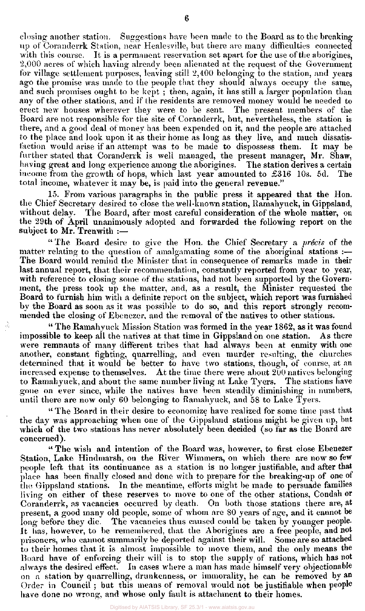closing another station. Suggestions have been made to the Board as to the breaking up of Coranderrk Station, *near* Healesville, but there are many difficulties connected with this course. It is a permanent reservation set apart for the use of the aborigines, 2,000 acres of which having already been alienated at the request of the Government for village settlement purposes, leaving still 2,400 belonging to the station, and years ago the promise was made to the people that they should always occupy the same, and such promises ought to be kept ; then, again, it has still a larger population than any of the other stations, and if the residents are removed money would be needed to erect new houses wherever they were to be sent. The present members of the Board are not responsible for the site of Coranderrk, but, nevertheless, the station is there, and a good deal of money has been expended on it, and the people are attached to the place and look upon it as their home as long as they live, and much dissatisfaction would arise if an attempt was to be made to dispossess them. It may be further stated that Coranderrk is well managed, the present manager, Mr. Shaw, having great and long experience among the aborigines. The station derives a certain income from the growth of hops, which last year amounted to £316 10s. 5d. The total income, whatever it may be, is paid into the general revenue."

15. From various paragraphs in the public press it appeared that the Hon. the Chief Secretary desired to close the well-known station, Ramahyuck, in Gippsland, without delay. The Board, after most careful consideration of the whole matter, on the 29th of April unanimously adopted and forwarded the following report on the subject to Mr. Trenwith :—

" The Board desire to give the Hon. the Chief Secretary a *precis* of the matter relating to the question of amalgamating some of the aboriginal stations :-The Board would remind the Minister that in consequence of remarks made in their last annual report, that their recommendation, constantly reported from year to year, with reference to closing some of the stations, had not been supported by the Government, the press took up the matter, and, as a result, the Minister requested the Board to furnish him with a definite report on the subject, which report was furnished by the Board as soon as it was possible to do so, and this report strongly recommended the closing of Ebenezer, and the removal of the natives to other stations.

" The Ramahyuck Mission Station was formed in the year 1862, as it was found impossible to keep all the natives at that time in Gippsland on one station. As there were remnants of many different tribes that had always been at enmity with one another, constant fighting, quarrelling, and even murder resulting, the churches determined that it would be better to have two stations, though, of course, at an increased expense to themselves. At the time there were about 200 natives belonging to Ramahyuck, and about the same number living at Lake Tyers. The stations have gone on ever since, while the natives have been steadily diminishing in numbers, until there are now only 60 belonging to Ramahyuck, and 58 to Lake Tyers.

" The Board in their desire to economize have realized for some time past that the day was approaching when one of the Gippsland stations might be given up, but which of the two stations has never absolutely been decided (so far as the Board are concerned).

" The wish and intention of the Board was, however, to first close Ebenezer Station, Lake Hindmarsh, on the River Wimmera, on which there are now so few people left that its continuance as a station is no longer justifiable, and after that place has been finally closed and done with to prepare for the breaking-up of one of the Gippsland stations. In the meantime, efforts might be made to persuade families living on either of these reserves to move to one of the other stations, Condah or Coranderrk, as vacancies occurred by death. On both those stations there are, at present, a good many old people, some of whom are 80 years of age, and it cannot be long before they die. The vacancies thus caused could be taken by younger people. It has, however, to be remembered, that the Aborigines are a free people, and not prisoners, who cannot summarily be deported against their will. Some are so attached to their homes that it is almost impossible to move them, and the only means the Board have of enforcing their will is to stop the supply of rations, which has not always the desired effect. In cases where a man has made himself very objectionable on a station by quarrelling, drunkenness, or immorality, he can be removed by an Order in Council ; but this means of removal would not be justifiable when people have done no wrong, and whose only fault is attachment to their homes.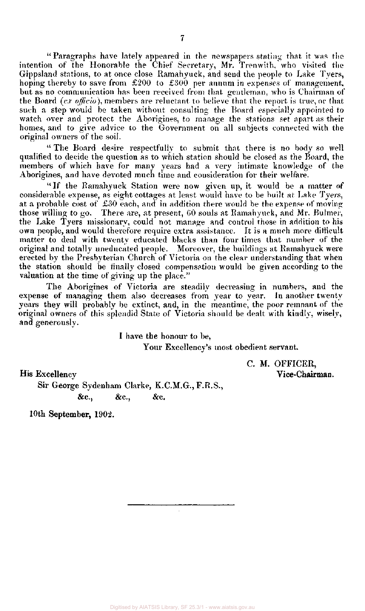" Paragraphs have lately appeared in the newspapers stating that it was the intention of the Honorable the Chief Secretary, Mr. Trenwith, who visited the Gippsland stations, to at once close Ramahyuck, and send the people to Lake Tyers, hoping thereby to save from £200 to £300 per annum in expenses of management, but as no communication has been received from that gentleman, who is Chairman of the Board *(ex officio),* members are reluctant to believe that the report is true, or that such a step would be taken without consulting the Board especially appointed to watch over and protect the Aborigines, to manage the stations set apart as their homes, and to give advice to the Government on all subjects connected with the original owners of the soil.

" The Board desire respectfully to submit that there is no body so well qualified to decide the question as to which station should be closed as the Board, the members of which have for many years had a very intimate knowledge of the Aborigines, and have devoted much time and consideration for their welfare.

" If the Ramahyuck Station were now given up, it would be a matter of considerable expense, as eight cottages at least would have to be built at Lake Tyers, at a probable cost of £30 each, and in addition there would be the expense of moving those willing to go. There are, at present, GO souls at Ramahyuck, and Mr. Bulmer, the Lake Tyers missionary, could not manage and control those in addition to his own people, and would therefore require extra assistance. It is a much more difficult matter to deal with twenty educated blacks than four times that number of the original and totally uneducated people. Moreover, the buildings at Ramahyuck were erected by the Presbyterian Church of Victoria on the clear understanding that when the station should be finally closed compensation would be given according to the valuation at the time of giving up the place."

The Aborigines of Victoria are steadily decreasing in numbers, and the expense of managing them also decreases from year to year. In another twenty years they will probably be extinct, and, in the meantime, the poor remnant of the original owners of this splendid State of Victoria should be dealt with kindly, wisely, and generously.

I have the honour to be,

Your Excellency's most obedient servant.

C. **M. OFFICER, Vice-Chairman.** 

**His** Excellency

**Sir** George Sydenham Clarke, K.C.M.G., F.R.S.,  $\&c.,\qquad \&c.,\qquad \&c.$ 

**10th September,** 1902.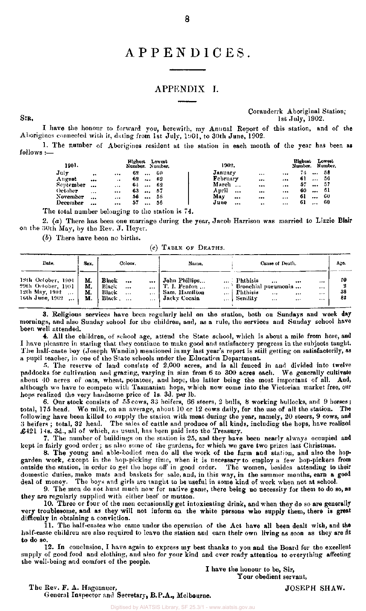# APPENDICES .

# APPENDIX I.

Coranderrk Aboriginal Station;  $SIR<sub>1</sub>$  1st July, 1902.

I have the honour to forward you, herewith, my Annual Report of this station, and of the Aborigines connected with it, dating from 1st July, 1901, to 30th June, 1902.

1. The number of Aborigines resident at the station in each month of the year has been as follows :—

| 1901.                                                     |                      |           | Highest |          | Lowest<br>Number. Number. | 1902.    |          |           |          | Highest<br>Number. |          | Lowest<br>Number. |
|-----------------------------------------------------------|----------------------|-----------|---------|----------|---------------------------|----------|----------|-----------|----------|--------------------|----------|-------------------|
| July                                                      | $\ddot{\phantom{1}}$ |           | 62      |          | -60                       | January  |          |           |          | 74.                |          | -58               |
| August                                                    | $$                   | $\bullet$ | 62      |          | -62                       | February |          |           |          | 61                 | 4.4.4    | -56               |
| September                                                 |                      | $\cdots$  | 64      |          | -62                       | March    |          |           |          | 57                 |          | - 57              |
| October                                                   | $\cdots$             |           | 63      |          | -57                       | April    | $\cdots$ | $\cdots$  |          | 60                 | $\cdots$ | -61               |
| November                                                  |                      |           | 56      | $\cdots$ | -56                       | May      |          |           | $\cdots$ | 61                 |          | - 60              |
| December                                                  |                      | $\cdots$  | 57      | $\cdots$ | -56                       | June     |          | $\bullet$ | $\cdots$ | 61                 | $\cdots$ | -60               |
| .a.g.s.s.l.com/hospital.com/data_astal.a.g.a.g.l.a. (이 트레 |                      |           |         |          |                           |          |          |           |          |                    |          |                   |

The total number belonging to the station is 74.

2, (a) There has been one marriage during the year, Jacob Harrison was married to Lizzie Blair on the 30th May, by the Rev. J. Heyer.

*(b)* There have been no births.

(c) TABLE OF DEATHS.

| Date.                                                                                      | Sex.                 | Colour.                                                                   |                              | Name.                                                          |                                           |                                                                         | Cause of Death.          |                          | Age.           |
|--------------------------------------------------------------------------------------------|----------------------|---------------------------------------------------------------------------|------------------------------|----------------------------------------------------------------|-------------------------------------------|-------------------------------------------------------------------------|--------------------------|--------------------------|----------------|
| 18th October, 1901.<br>29th October, 1901<br>12th May, 1902<br>$\cdots$<br>16th June, 1902 | M.<br>М.<br>М.<br>М. | Black<br><br>Black<br>$\cdots$<br>Black<br>$\cdots$<br>Black.<br>$\cdots$ | <br><br>$\cdots$<br>$\cdots$ | John Phillips<br>T. I. Fenton<br>Sam. Hamilton<br>Jacky Cocain | $***$<br>$\cdots$<br>$\cdots$<br>$\cdots$ | - Phthisis<br>Bronchial pueumonia<br><b>Phthisis</b><br><b>Senility</b> | <br>$\cdots$<br>$\cdots$ | <br><br><br><br><br><br> | £0<br>38<br>82 |

3. Religious services have been regularly held on the station, both on Sundays and week day mornings, and also Sunday school for the children, and, as a rule, the services and Sunday school have been well attended.

4. All the children, of school age, attend the State school, which is about a mile from here, and I have pleasure in stating that they continue to make good and satisfactory progress in the subjects taught. The half-caste boy (Joseph Wandin) mentioned in my last year's report is still getting on satisfactorily, as a pupil teacher, in one of the State schools under the Education Department.

5. The reserve of land consists of 2,000 acres, and is all fenced in and divided into twelve paddocks for cultivation and grazing, varying in size from 6 to 300 acres each. We generally cultivate about 40 acres of oats, wheat, potatoes, and hops, the latter being the most important of all. And, although we have to compete with Tasmanian hops, which now come into the Victorian market free, our hops realized the very handsome price of 1s. 3d. per lb.

6. Our stock consists of 55 cows, 33 heifers, *66* steers, 2 bulls, 8 working bullocks, and 9 horses; total, 175 head. We milk, on an average, about 10 or 12 cows daily, for the use of all the station. The following have been killed to supply the station with meat during the year, namely, 20 steers, 9 cows, and 3 heifers ; total, 32 head. The sales of cattle and produce of all kinds, including the hops, have realized £421 14s. 3d., all of which, as usual, has been paid into the Treasury.

7. The number of buildings on the station is 25, and they have been nearly always occupied and kept in fairly good order; as also some of the gardens, for which we gave two prizes last Christmas.

8. The young and able-bodied men do all the work of the farm and station, and also the hopgarden work, except in the hop-picking time, when it is necessary to employ a few hop-pickers from outside the station, in order to get the hops off in good order. The women, besides attending to their domestic duties, make mats and baskets for sale, and, in this way, in the summer months, earn a good deal of money. The boys and girls are taught to he useful in some kind of work when not at school.

9. The men do not hunt much now for native game, there being no necessity for them to do so, as they are regularly supplied with either beef or mutton.

10. Three or four of the men occasionally get intoxicating drink, and when they do so are generally very troublesome, and as they will not inform on the white persons who supply them, there is great difficulty in obtaining a conviction.

11. The half-castes who came under the operation of the Act have all been dealt with, and the half-caste children are also required to leave the station and earn their own living as soon as they are fit to do so.

12. In conclusion, I have again to express my best thanks to you and the Board for the excellent supply of good food and clothing, and also for your kind and ever ready attention to everything affecting the well-being and comfort of the people.

I have the honour to be, Sir, Your obedient servant,

## The Rev. F. A. Hagenauer, General Inspector and Secretary, B.P.A., Melbourne.

JOSEPH SHAW.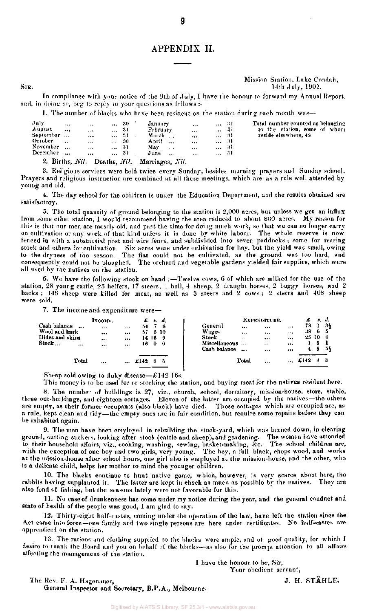# APPENDIX II.

9

#### Mission Station. Lake Condah, SIR,  $14th$  July, 1902.

In compliance with your notice of the 9th of July, I have the honour to forward my Annual Report, and, in doing so, beg to reply to your questions as follows :-

1. The number of blacks who have been resident on the station during each month was-

| July<br>A ugust<br>September<br>October<br>November | $\cdots$<br><br><br>$\cdots$ | $***$<br><br><br>$\cdots$<br>$\cdots$ | <br>$\cdots$<br>$\cdots$<br><b>A 4 4 1</b> | -30-<br>-31<br>-31<br>-30<br>31 | January<br><b>February</b><br>March<br>April<br>May | $\cdots$<br>$\sim$ $\sim$ | $\cdots$<br>$\cdots$<br><br><br> | $\ldots$ 31<br>$\sim$ $\sim$<br><br>31 | $\ldots$ 3i<br>-31<br>-31 | Total number counted as belonging.<br>to the station, some of whom<br>reside elsewhere, 48 |
|-----------------------------------------------------|------------------------------|---------------------------------------|--------------------------------------------|---------------------------------|-----------------------------------------------------|---------------------------|----------------------------------|----------------------------------------|---------------------------|--------------------------------------------------------------------------------------------|
| December<br>$\alpha$ Dia $\alpha$                   |                              | $\cdots$                              | $T = 1$                                    | 31                              | June<br>                                            | $\rightarrow$             | $\cdots$                         | $\ldots$ 31                            |                           |                                                                                            |

2. Births, *Nil.* Deaths, *Nil.* Marriages, Ni*l.* 

3. Religious services were held twice every Sunday, besides morning prayers and Sunday school. Prayers and religious instruction are combined at all these meetings, which are as a rule well attended by young and old.

4. The day school for the children is under the Education Department, and the results obtained are satisfactory.

5. The total quantity of ground belonging to the station is  $2,000$  acres, but unless we get an influx from some other station, I would recommend having the area reduced to about 800 acres. My reason for this is that our men are mostly old, and past the time for doing much work, so that we can no longer carry on cultivation or any work of that kind unless it is done by white labour. The whole reserve is now fenced in with a substantial post and wire fence, and subdivided into seven paddocks ; some for rearing stock and others for cultivation. Six acres were under cultivation for hay. but the yield was small, owing to the dryness of the season. The flat could not be cultivated, as the ground was too hard, and consequently could not be ploughed. The orchard and vegetable gardens yielded fair supplies, which were all used by the natives on the station.

6. We have the following stock on hand :—Twelve cows, 6 of which are milked for the use of the station, 28 young cattle, 25 heifers, 17 steers, 1 bull, 4 sheep, 2 draught horses, 2 buggy horses, and 2 hacks ; 146 sheep were killed for meat, as well as 3 steers and 2 cows ; 2 steers and 408 sheep were sold.

7. The income and expenditure were—

|                          | Іхсоме.  |          |       | £ s. d. |               |           | EXPENDITURE.                  |          |       |    | s. d. |
|--------------------------|----------|----------|-------|---------|---------------|-----------|-------------------------------|----------|-------|----|-------|
| Cash balance<br>$\cdots$ | $\cdots$ | $\cdots$ | 54    | -8      | General       | $\cdots$  |                               | $\cdots$ | 73.   |    | 34    |
| Wool and bark            |          |          | 57    | -310    | Wages         | $\cdots$  | $\bullet$ $\bullet$ $\bullet$ | $\cdots$ | 38    | -6 | 5     |
| Hides and skins          | $\cdots$ |          |       | 14 16 9 | Stock         | $\cdot$ . |                               |          | 25 10 |    | - 0   |
| Stock<br>                |          |          |       | 1600    | Miscellaneous |           |                               | $\cdots$ |       | 5  |       |
|                          |          |          |       |         | Cash balance  | $\ddotsc$ | $\cdots$                      | $\cdots$ | 4     | 5  | -55   |
| Total                    |          |          | £142. | з       |               | Total     |                               |          | £142  | я  | -3    |
|                          |          |          |       |         |               |           |                               |          |       |    |       |

Sheep sold owing to fluky disease—£142 16s.

This money is to be used for re-stocking the station, and buying meat for the natives resident here.

8. The number of buildings is 27, viz., church, school, dormitory, mission-house, store, stable, three out-buildings, and eighteen cottages. Eleven of the latter are occupied by the natives—the others are empty, as their former occupants (also black) have died. Those cottages which are occupied are, as a rule, kept clean and tidy—the empty ones are in fair condition, but require some repairs before they can be inhabited again.

9. The men have been employed in rebuilding the stock-yard, which was burned down, in clearing ground, cutting suckers, looking after stock (cattle and sheep), and gardening. The women have attended to their household affairs, viz., cooking, washing, sewing, basket-making, &c. The school children are, with the exception of one boy and two girls, very young. The boy, a full black, chops wood, and works at the mission-house after school hours, one girl also is employed at the mission-house, and the other, who is a delicate child, helps her mother to mind the younger children.

10. The blacks continue to hunt native game, which, however, is very scarce about here, the rabbits having supplanted it. The latter are kept in check as much as possible by the natives. They are also fond of fishing, but the seasons lately were not favorable for this.

11. No case of drunkenness has come under my notice during the year, and the general conduct and state of health of the people was good, I am glad to say.

12. Thirty-eight half-castes, coming under the operation of the law, have left the station since the Act came into force—one family and two single persons are here under certificates. No half-castes are apprenticed on the station.

13. The rations and clothing supplied to the blacks were ample, and of good quality, for which I desire to thank the Board and you on behalf of the blacks—as also for the prompt attention to all affairs affecting the management of the station.

1 have the honour to be, Sir,

Your obedient servant,

The Rev. F. A. Hagenauer, J. H. STÄHLE. General Inspector and Secretary, B.P.A. , Melbourne.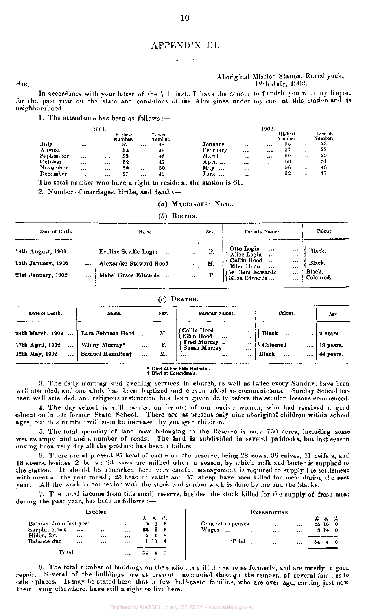## APPENDIX TIL

**TO** 

#### Aboriginal Mission Station, Ramahyuck,  $SIR$ ,  $12th$  July,  $1902$ .

In accordance with your letter of the 7th inst., I have the honour to furnish you with my Report for the past year on the state and conditions of the Aborigines under my care at this station and its neighbourhood.

1. The attendance has been as  $follows:$ 

|           |          | 1901.    | Highest<br>Number. |          | Lowest<br>Number. |                 |          | 1902.    | Highest<br>Number. |          | Lowest.<br>Number. |
|-----------|----------|----------|--------------------|----------|-------------------|-----------------|----------|----------|--------------------|----------|--------------------|
| July      | $. + +$  | $\cdots$ | 57                 |          | 48                | January         | $\cdots$ |          | 56                 | $$       | 53                 |
| August    | $\cdots$ | $\cdots$ | 53                 |          | 49                | February        |          |          | 57                 |          | 52                 |
| September | $\cdots$ |          | 53                 | $\cdots$ | 48                | March           | $\cdots$ |          | 60                 | $\cdots$ | 55                 |
| October   | $\cdots$ |          | 52                 | $\cdots$ | 47                | April           |          | $\cdots$ | 60                 |          | 51                 |
| November  | $\cdots$ |          | 50                 | $\cdots$ | 50                | Mav<br>$\cdots$ | $\cdots$ | $\cdots$ | 56                 |          | 48                 |
| December  | $\cdots$ | $\cdots$ | 57                 | $\cdots$ | 49                | June            | $\cdots$ |          | 52                 | $\cdots$ | 47                 |

The total number who have a right to reside at the station is 61.

2. Number of marriages, births, and deaths-

*(a)* MARRIAGES : None .

 $(b)$  BIRTHS.

| Date of Birth.                                                                            | Name                                                                                           | Sex.           | Parents' Names.                                                                                                                                              | Colour.                                 |
|-------------------------------------------------------------------------------------------|------------------------------------------------------------------------------------------------|----------------|--------------------------------------------------------------------------------------------------------------------------------------------------------------|-----------------------------------------|
| 14th August, 1901<br>$\ddotsc$<br>12th January, 1902<br><br>21st January, 1902<br>$- - -$ | Eveline Seville Login<br>$\cdots$<br><br>Alexander Steward Hood<br><br>Mabel Grace Edwards<br> | F.<br>М.<br>F. | Otto Login<br>Alice Login<br>$\cdots$<br><br>$\cdots$<br><br>Collin Hood<br><br><br>Ellen Hood<br><br><br>(William Edwards)<br>$\cdots$<br>Eliza Edwards<br> | Black.<br>Black.<br>Black.<br>Coloured. |

#### $(c)$  DEATHS.

| Date of Death.                                                                              | Name.                                                  | Sex.                   | Parents' Names.                                                                              | Colour.                                                            | Age.                               |
|---------------------------------------------------------------------------------------------|--------------------------------------------------------|------------------------|----------------------------------------------------------------------------------------------|--------------------------------------------------------------------|------------------------------------|
| 24th March, 1902<br>$\ddotsc$<br>17th April, 1902<br>$\cdots$<br>12th May, 1902<br>$\cdots$ | Lara Johnson Hood<br>Winny Murray*<br>Samuel Hamiltonf | <br><br>М.<br>F.<br>М. | ( Collin Hood<br>( Ellen Hood<br>$\cdots$<br>$\cdots$<br>Fred Murray<br>Susan Murray<br><br> | <br><br><br><br><br>Black<br>Coloured<br><br>Black<br>$\cdots$<br> | 2 years.<br>18 years.<br>44 years. |

\* Died at the Sale Hospital, Died at Coranderrk.

3. The daily morning and evening services in church, as well as twice every Sunday , have been well attended, and one adult has been baptized and eleven added as communicants. Sunday School has been well attended, and religious instruction has been given daily before the secular lessons commenced.

4. The day school is still carried on by one of our native women, who had received a good education in our former State School. There are at present only nine aboriginal children within school ages, but this number will soon be increased by younger children.

5. The total quantity of land now belonging to the Reserve is only 750 acres, including some wet swampy land and a number of roads. The land is subdivided in several paddocks, but last season having been very dry all the produce has been a failure.

6. There are at present 95 head of cattle on the reserve, being 28 cows, 36 calves, 11 heifers, and 18 steers, besides 2 bulls ; 23 cows are milked when in season, by which milk and butter is supplied to the station. It should be remarked here very careful management is required to supply the settlement with meat all the year round ; 23 head of cattle and 37 sheep have been killed for meat during the past year. All the work in connexion with the stock and station work is done by me and the blacks.

7. The total income from this small reserve, besides the stock killed for the supply of fresh meat during the past year, has been as follows :-

|                        | INCOME.      |          |              |                   |     |                  |       |       |          | EXPENDITURE.         |        |     |       |
|------------------------|--------------|----------|--------------|-------------------|-----|------------------|-------|-------|----------|----------------------|--------|-----|-------|
|                        |              |          |              | $\pounds$ $\pi$ . | ા.  |                  |       |       |          |                      |        | -8. | d.    |
| Balance from last year | $\cdots$     |          | $\mathbf{0}$ | -36               |     | General expenses |       |       |          | $\ddot{\phantom{0}}$ |        |     | 25100 |
| Surplus stock          | <br>         | $\cdots$ |              | 26 15             | - 6 | Wages            | $***$ |       | $\cdots$ | $$                   |        |     | 8140  |
| Hides, &c.             | <br>$\cdots$ | $\cdots$ |              | 5 II              | - 8 |                  |       |       |          |                      |        |     |       |
| Balance due            | <br>$\cdots$ |          |              | -13-              | - 4 |                  |       | Total |          |                      | <br>34 |     | 40    |
| Total                  |              |          |              |                   | -0  |                  |       |       |          |                      |        |     |       |

8. The total number of buildings on the station is still the same as formerly, and are mostly in good repair. Several of the buildings are at present unoccupied through the removal of several families to other places. It may be stated here that a few half-caste families, who are over age, earning just now their living elsewhere, have still a right to live here.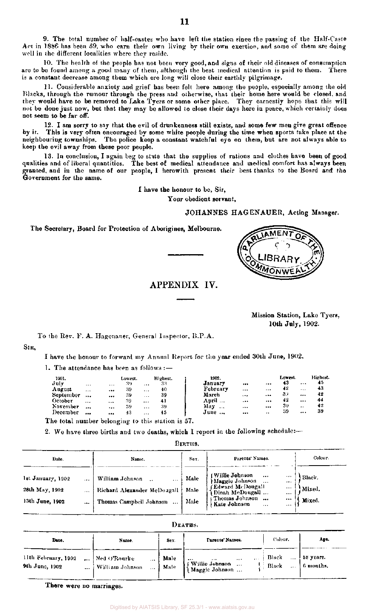9. The total number of half-castes who have left the station since the passing of the Half-Caste Act in 1886 has been 59, who earn their own living by their own exertion, and some of them are doing well in the different localities where they reside.

10. The health of the people has not been very good, and signs of their old diseases of consumption are to be found among a good many of them, although the best medical attention is paid to them. There is a constant decrease among them which ere long will close their earthly pilgrimage.

11. Considerable anxiety and grief has been felt here among the people, especially among the old Blacks, through the rumour through the press and otherwise, that their home here would be closed, and they would have to be removed to Lake Tyers or some other place. They earnestly hope that this will not be done just now, but that they may be allowed to close their days here in peace, which certainly does not seem to be far off.

12. I am sorry to say that the evil of drunkenness still exists, and some few men give great offence by it. This is very often encouraged by some white people during the time when sports take place at the neighbouring townships. The police keep a constant watchful eye on them, but are not always able to keep the evil away from these poor people.

13. In conclusion, I again beg to state that the supplies of rations and clothes have been of good qualities and of liberal quantities. The best of medical attendance and medical comfort has always been granted, and in the name of our people, I herewith present their best thanks to the Board and the Government for the same.

I have the honour to be, Sir,

Your obedient servant.

#### JOHANNES HAGENAUER, Acting Manager.

The Secretary, Board for Protection of Aborigines, Melbourne.



# APPENDIX IV.

Mission Station, Lake Tyers, 10th July, 1902.

To the Rev. F. A. Hagenauer, General Inspector, B.P.A.

SIR,

I have the honour to forward my Annual Report for the year ended 30th June, 1902.

1. The attendance has been as follows :—

| 1901.                                             |           |      | Lowest. |                 | Highest. | 1902.    |          |           | Lowest. |          | Highest. |
|---------------------------------------------------|-----------|------|---------|-----------------|----------|----------|----------|-----------|---------|----------|----------|
| July                                              | $\cdots$  | $ -$ | -39     | $\ddotsc$       | 33       | January  |          |           | 43      | $\cdots$ | 45       |
| August                                            | $\ddotsc$ |      | 39      | $\cdots$        | 40       | February | $***$    |           | 42      |          | 43       |
| September                                         |           |      | 39      | $\cdot$ $\cdot$ | 39       | March    |          |           | 37      | $\cdots$ | 42       |
| October                                           | $***$     |      | 39      | $\cdots$        | 41       | April    | $\cdots$ |           | 42      |          | 44       |
| November                                          |           |      | 39      |                 | -39      | May      |          | $\cdots$  | 30      |          | 42       |
| l)ecember                                         |           |      | 43      | $\cdots$        | 45       | June     |          | $\cdot$ . | -39     |          | 39       |
| The total number belonging to this station is 57. |           |      |         |                 |          |          |          |           |         |          |          |

2. We have three births and two deaths, which I report in the following schedule:—

BIRTHS.

| Date.                                                              | Name.                                                                         | Sex.                 | Parents' Names.                                                                                                                                                                                    | Colour.                    |
|--------------------------------------------------------------------|-------------------------------------------------------------------------------|----------------------|----------------------------------------------------------------------------------------------------------------------------------------------------------------------------------------------------|----------------------------|
| 1st January, 1902<br>28th May, 1902<br>13th June, 1902<br>$\cdots$ | William Johnson<br><br>Richard Alexander McDougall<br>Thomas Campbell Johnson | Male<br>Male<br>Male | l Willie Johnson (<br>$\cdots$<br>$\cdots$<br>Maggie Johnson<br>$\cdots$<br>(Edward McDougall)<br>$\cdots$<br>Dinah McDougall<br>$\cdots$<br>t Thomas Johnson<br><br><br>Kate Johnson<br>$***$<br> | Black.<br>Mixed.<br>Mixed. |

DEATHS.

| Date.                                             | Name.                                           | Sex.         | Parents' Names.                                                            | Coleur.                                 | Age.                   |
|---------------------------------------------------|-------------------------------------------------|--------------|----------------------------------------------------------------------------|-----------------------------------------|------------------------|
| 11th February, 1902<br>9th June, 1902<br>$\cdots$ | Ned O'Rourke<br><br>William Johnson<br>$\cdots$ | Male<br>Male | $\bullet$<br>$+ + +$<br><br>$\cdots$<br>(Willie Johnson<br>(Maggie Johnson | Black<br>$\cdots$<br>Black<br>$\ddotsc$ | 58 years.<br>6 months. |

There were no marriages.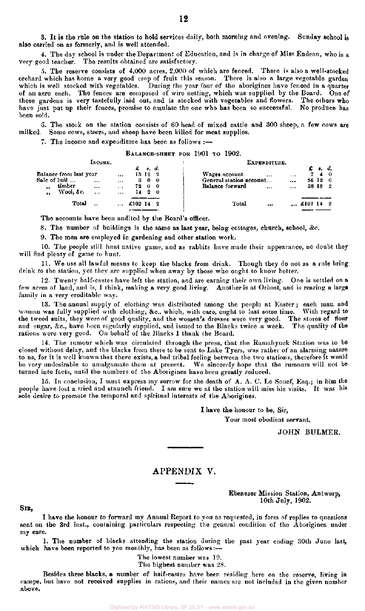4. The day school is under the Department of Education, and is in charge of Miss Endean, who is a very good teacher. The results obtained are satisfactory.

5. The reserve consists of 4,000 acres, 2,000 of which are fenced. There is also a well-stocked orchard which has borne a very good crop of fruit this season. There is also a large vegetable garden which is well stocked with vegetables. During the year four of the aborigines have fenced in a quarter of an acre each. The fences are composed of wire netting, which was supplied by the Board. One of these gardens is very tastefully laid out, and is stocked with vegetables and flowers. The others who have just put up their fences, promise to emulate the one who has been so successful. No produce has been sold.

G. The stock on the station consists of 60 head of mixed cattle and 300 sheep, a few cows are milked. Some cows, steers, and sheep have been killed for meat supplies.

7. The income and expenditure has been as follows :—

#### BALANCE-SHEET FOR 1901 TO 1902.

|                                        | Іксоме.          |                                   |           |                              |            | EXPENDITURE.                                             |                  |                      |            |
|----------------------------------------|------------------|-----------------------------------|-----------|------------------------------|------------|----------------------------------------------------------|------------------|----------------------|------------|
| Balance from last year<br>Sale of bull |                  | $\cdots$                          | £<br>3    | . d.<br>13 12 2<br>$\bullet$ | - 0        | Wages account<br>$\cdots$<br><br>General station account | £ e. d.<br>56 12 | $\blacktriangleleft$ | - 0<br>- 0 |
| timber<br>,,<br>Wool, &c.<br>$\bullet$ | <br><br>$\cdots$ | <br>$\sim$ $\sim$ $\sim$<br>$***$ | 72<br>14  | 0<br>2                       | - 0<br>- 0 | <br>Balance forward<br><br>                              | 38 18            |                      | - 2        |
|                                        | Total            |                                   | $£102$ 14 |                              | $\cdot$ 2  | Total<br>$$ £102 14<br>                                  |                  |                      | - 2        |

The accounts have been audited by the Board's officer.

8. The number of buildings is the same as last year, being cottages, church, school, &c.

9. The men are employed in gardening and other station work.

10. The people still hunt native game, and as rabbits have made their appearance, no doubt they will find plenty of game to hunt.

11. We use all lawful means to keep the blacks from drink. Though they do not as a rule bring drink to the station, yet they are supplied when away by those who ought to know better.

12. Twenty half-castes have left the station, and are earning their own living. One is settled on a few acres of land, and is, I think, making a very good living. Another is at Orbost, and is rearing a large family in a very creditable way.

13. The annual supply of clothing was distributed among the people at Easter ; each man and woman was fully supplied with clothing, &c, which, with care, ought to last some time. With regard to the tweed suits, they were of good quality, and the women's dresses were very good. The stores of flour and sugar, &c , have been regularly supplied, and issued to the Blacks twice a week. The quality of the rations were very good. On behalf of the Blacks I thank the Board.

14. The rumour which was circulated through the press, that the Ramabyuck Station was to be closed without delay, and the blacks from there to be sent to Lake Tyers, was rather of an alarming nature to us, for it is well known that there exists, a bad tribal feeling between the two stations, therefore it would be very undesirable to amalgamate them at present. We sincerely hope that the rumours will not be turned into facts, until the numbers of the Aborigines have been greatly reduced.

15. In conclusion, I must express my sorrow for the death of  $A$ . A. C. Le Souef, Esq.; in him the people have lost a tried and staunch friend. I am sure we at the station will miss his visits. It was his sole desire to promote the temporal and spiritual interests of the Aborigines.

> I have the honour to be, Sir, Your most obedient servant,

> > JOHN BULMER.

# APPENDIX V.

#### Ebenezer Mission Station, Antwerp, 10th July, 1902.

#### SIR,

I have the honour to forward my Annual Report to you as requested, in form of replies to questions sent on the 3rd inst., containing particulars respecting the general condition of the Aborigines under my care.

1. The number of blacks attending the station during the past year ending 30th June last, which have been reported to you monthly, has been as follows:—

The lowest number was 19.

The highest number was 28.

Besides these blacks, a number of half-castes have been residing here on the reserve, living in camps, but have not received supplies in rations, and their names are not included in the given number above.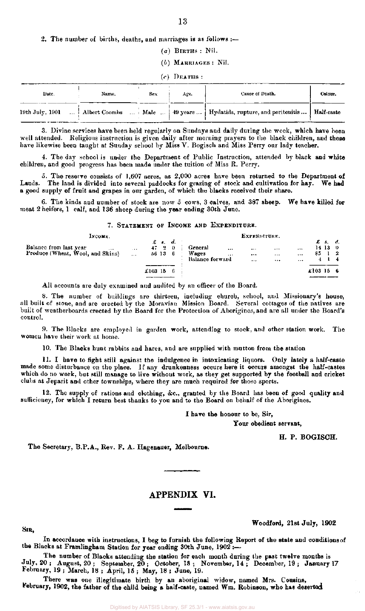2. The number of births, deaths, and marriages is as follows :—

- *(a)* BIRTHS : Nil.
- *(b)* MARRIAGES : Nil.

#### *(c)* DEATHS :

| Date. | Name. | Sex. | Age. | Cause of Death.                                                                                          | Colour. |
|-------|-------|------|------|----------------------------------------------------------------------------------------------------------|---------|
|       |       |      |      | 19th July, 1901    Albert Coombs    Male    49 years    Hydatids, rupture, and peritonitis    Half-caste |         |

3. Divine services have been held regularly on Sundays and daily during the week, which have been well attended. Religions instruction is given daily after morning prayers to the black children, and these have likewise been taught at Sunday school by Miss V. Bogisch and Miss Perry our lady teacher.

4. The day school is under the Department of Public Instruction, attended by black and white children, and good progress has been made under the tuition of Miss R. Perry.

5. The reserve consists of 1,607 acres, as  $2,000$  acres have been returned to the Department of Lands. The land is divided into several paddocks for grazing of stock and cultivation for hay. We had a good supply of fruit and grapes in our garden, of which the blacks received their share.

6. The kinds and number of stock are now 5 cows, 3 calves, and 387 sheep. We have killed for meat 2 heifers, 1 calf, and 136 sheep during the year ending 30th June.

#### 7. STATEMENT OF INCOME AND EXPENDITURE.

| Інсоме.                                                        |                   |                 |                                   |                  |                                     |                      | EXPENDITURE.                     |                         |                              |         |                                 |           |
|----------------------------------------------------------------|-------------------|-----------------|-----------------------------------|------------------|-------------------------------------|----------------------|----------------------------------|-------------------------|------------------------------|---------|---------------------------------|-----------|
| Balance from last year<br><br>Produce (Wheat, Wool, and Skins) | 1.4.4<br>$\cdots$ |                 | $\pounds$ s.<br>$47 - 2$<br>56 13 | d.<br>- 0<br>- 6 | General<br>Wages<br>Balance forward | $\cdots$<br>$\cdots$ | $\cdots$<br>$\cdots$<br>$\cdots$ | $1.1 +$<br>$\cdots$<br> | $\cdots$<br>$***$<br>$+ + +$ | 85.     | £s.d.<br>14130<br>$\frac{1}{2}$ | $1\quad4$ |
|                                                                |                   | $\pounds103$ 15 |                                   | -6               |                                     |                      |                                  |                         |                              | £103156 |                                 |           |

All accounts are duly examined and audited by an officer of the Board.

8. The number of buildings are thirteen, including church, school, and Missionary's house, all built of stone, and are erected by the Moravian Mission Board. Several cottages of the natives are built of weatherboards erected by the Board for the Protection of Aborigines, and are all under the Board's control.

9. The Blacks are employed in garden work, attending to stock, and other station work. The women have their work at home.

10. The Blacks hunt rabbits and hares, and are supplied with mutton from the station

11. I have to fight still against the indulgence in intoxicating liquors. Only lately a half-caste made some disturbance on the place. I f any drunkenness occurs here it occurs amongst the half-castes which do no work, but still manage to live without work, as they get supported by the football and cricket clubs at Jeparit and other townships, where they are much required for those sports.

12. The supply of rations and clothing, &c., granted by the Board has been of good quality and sufficiency, for which I return best thanks to you and to the Board on behalf of the Aborigines.

I have the honour to be, Sir,

Your obedient servant,

H. P. BOGISCH.

The Secretary, B.P.A., Rev. F. A. Hagenauer, Melbourne.

## APPENDIX VI.

SIR,

Woodford, 21st July, 1902

In accordance with instructions, I beg to furnish the following Report of the state and conditions of the Blacks at Framlingham Station for year ending 30th June, 1902 :—

The number of Blacks attending the station for each month during the past twelve months is July, 20 ; August, 20 ; September, 20 ; October, 18 ; November, 14 ; December, 19 ; January 17 February, 19 ; March, 18 ; April, 15 ; May, 18 ; June, 19.

There was one illegitimate birth by an aboriginal widow, named Mrs. Cousins, February, 1902, the father of the child being a half-caste, named Wm. Robinson, who has deserted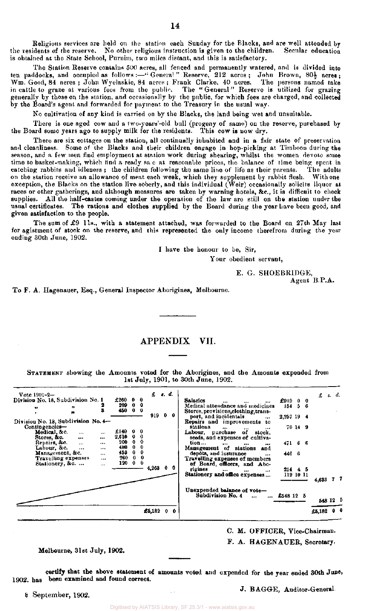Religious services are held on the station each Sunday for the Blacks, and are well attended by the residents of the reserve. No other religious instruction is given to the children. Secular education is obtained at the State School, Purnim, two miles distant, and this is satisfactory.

The Station Reserve contains 500 acres, all fenced and permanently watered, and is divided into ten paddocks, and occupied as follows:—"Genera!" Reserve, 212 acres; John Brown, 80½ acres; Wm. Good, **84** acres ; John Wyelaskie, 84 acres ; Frank Clarke, 40 acres. The persons named take in cattle to graze at various fees from the public. The "General " Reserve is utilized for grazing generally by those on the station, and occasionally by the public, for which fees are charged, and collected by the Board's agent and forwarded for payment to the Treasury in the usual way.

No cultivation of any kind is carried on by the Blacks, the land being wet and unsuitable.

There is one aged cow and a two-years'-old bull (progeny of same) on the reserve, purchased by the Board some years ago to supply milk for the residents. This cow is now dry.

There are six cottages on the station, all continually inhabited and in a fair state of preservation and cleanliness. Some of the Blacks and their children engage in hop-picking at Timboon during the season, and a few men find employment at station work during shearing, whilst the women devote some time to basket-making, which find a ready save at reasonable prices, the balance of time being spent in catching rabbits and idleness ; the children following the same line of life as their parents. The adults on the station receive an allowance of meat each week, which they supplement by rabbit flesh. With one exception, the Blacks on the station live soberly, and this individual (Weir) occasionally solicits liquor at, races or other gatherings, and although measures are taken by warning hotels, *he,* it is difficult to check supplies. All the half-castes coming under the operation of the law are still on the station under the usual certificates. The rations and clothes supplied by the Board during the year have been good, and given satisfaction to the people.

The sum of £9 11s., with a statement attached, was forwarded to the Board on 27th May last for agistment of stock on the reserve, and this represented the only income therefrom during the year ending 30th June, 1902.

I have the honour to be, Sir,

Your obedient servant,

E. G. SHOEBR1DGE, Agent B.P.A.

To F. A. Hagenauer, Esq., General Inspector Aborigines, Melbourne.

# APPENDIX VII.

STATEMENT showing the Amounts voted for the Aborigines, and the Amounts expended from 1st July, 1901, to 30th June, 1902.

| $Vote$ 1901-2-<br>Division No. 18, Subdivision No. 1<br>,,<br>$\bullet$<br>鰖<br>Division No. 18, Subdivision No. 4-<br>Contingencies-<br>Medical, &c.<br>$\cdots$<br>$\cdots$<br>Stores, &c.<br>$\cdots$<br>$\cdots$<br>Repairs, &c. .<br>$\cdots$<br><br>Labour, &c.<br>$\cdots$<br><br>Management, &c.<br>$\cdots$<br>Travelling expenses<br>$\cdots$<br>Stationery, &c.<br>$\cdots$ | <b>s.</b> d.<br>£<br>£260 0 0<br>209<br>0 <sub>0</sub><br>0 <sub>0</sub><br>450<br>919<br>$\mathbf{0}$<br>£140 0<br>2,610<br>$\mathbf 0$<br>$\mathbf{0}$<br>0<br>200<br>480<br>$\mathbf 0$<br>0<br>453<br>$\mathbf 0$<br>0<br>$\bullet$<br>0<br>260<br>$0\quad 0$<br>120<br>4,268<br>00 | Salaries<br>$\cdots$<br><br>Medical attendance and medicines<br>Stores, provisions, clothing, trans-<br>port, and incidentals<br><br>Repairs and improvements to<br>stations<br><br><br>$\cdots$<br>Labour, purchase of stock,<br>seeds, and expenses of cultiva-<br>tion<br>$\bullet$<br>$\cdots$<br><br>Management of stations<br>and<br>depôts, and insurance<br>$\cdots$<br>Travelling expenses of members<br>of Board, officers, and Abo-<br>rigines<br><br><br>$\sim 10$<br>Stationery and office expenses<br>Unexpended balance of vote-<br>Subdivision No. 4 | £91900<br>$134 - 5 - 6$<br>2,257 19 4<br>70149<br>471 6 6<br>446 6<br>214 4 5<br>119 10 11<br>£548 12 5 | s. d.<br>£<br>4,638                  | 77 |
|----------------------------------------------------------------------------------------------------------------------------------------------------------------------------------------------------------------------------------------------------------------------------------------------------------------------------------------------------------------------------------------|-----------------------------------------------------------------------------------------------------------------------------------------------------------------------------------------------------------------------------------------------------------------------------------------|----------------------------------------------------------------------------------------------------------------------------------------------------------------------------------------------------------------------------------------------------------------------------------------------------------------------------------------------------------------------------------------------------------------------------------------------------------------------------------------------------------------------------------------------------------------------|---------------------------------------------------------------------------------------------------------|--------------------------------------|----|
|                                                                                                                                                                                                                                                                                                                                                                                        | £5,182 $0$ 0                                                                                                                                                                                                                                                                            |                                                                                                                                                                                                                                                                                                                                                                                                                                                                                                                                                                      |                                                                                                         | 548 12 5<br>0 <sup>0</sup><br>£5,182 |    |

C. M. OFFICER, Vice-Chairman.

F. A. HAGENAUER, Secretary.

#### Melbourne, 31st July, **1902.**

**certify that the above statement** of amounts voted and expended for the year ended 30th June, 1902. has been **examined** and found **correct.** 

8 September, 1902.

**J.** BAGGE, Auditor-General